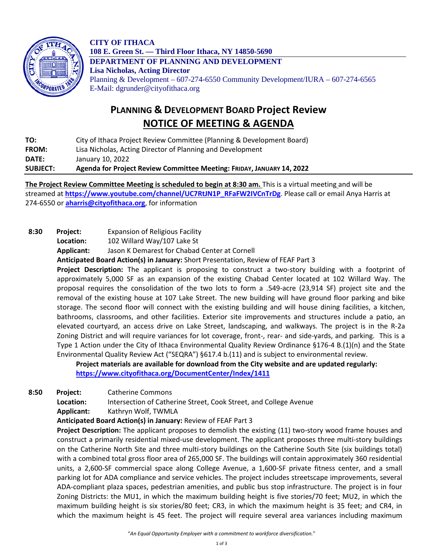

**CITY OF ITHACA 108 E. Green St. — Third Floor Ithaca, NY 14850-5690 DEPARTMENT OF PLANNING AND DEVELOPMENT Lisa Nicholas, Acting Director** Planning & Development – 607-274-6550 Community Development/IURA – 607-274-6565 E-Mail: dgrunder@cityofithaca.org

## **PLANNING & DEVELOPMENT BOARD Project Review NOTICE OF MEETING & AGENDA**

**TO:** City of Ithaca Project Review Committee (Planning & Development Board) **FROM:** Lisa Nicholas, Acting Director of Planning and Development

**DATE:** January 10, 2022

**SUBJECT: Agenda for Project Review Committee Meeting: FRIDAY, JANUARY 14, 2022**

**The Project Review Committee Meeting is scheduled to begin at 8:30 am.** This is a virtual meeting and will be streamed at **[https://www.youtube.com/channel/UC7RtJN1P\\_RFaFW2IVCnTrDg](https://www.youtube.com/channel/UC7RtJN1P_RFaFW2IVCnTrDg)**. Please call or email Anya Harris at 274-6550 or **[aharris@cityofithaca.org](mailto:aharris@cityofithaca.org)**, for information

**8:30 Project:** Expansion of Religious Facility

**Location:** 102 Willard Way/107 Lake St

**Applicant:** Jason K Demarest for Chabad Center at Cornell

**Anticipated Board Action(s) in January:** Short Presentation, Review of FEAF Part 3

**Project Description:** The applicant is proposing to construct a two-story building with a footprint of approximately 5,000 SF as an expansion of the existing Chabad Center located at 102 Willard Way. The proposal requires the consolidation of the two lots to form a .549-acre (23,914 SF) project site and the removal of the existing house at 107 Lake Street. The new building will have ground floor parking and bike storage. The second floor will connect with the existing building and will house dining facilities, a kitchen, bathrooms, classrooms, and other facilities. Exterior site improvements and structures include a patio, an elevated courtyard, an access drive on Lake Street, landscaping, and walkways. The project is in the R-2a Zoning District and will require variances for lot coverage, front-, rear- and side-yards, and parking. This is a Type 1 Action under the City of Ithaca Environmental Quality Review Ordinance §176-4 B.(1)(n) and the State Environmental Quality Review Act ("SEQRA") §617.4 b.(11) and is subject to environmental review.

**Project materials are available for download from the City website and are updated regularly: <https://www.cityofithaca.org/DocumentCenter/Index/1411>**

**8:50 Project:** Catherine Commons

**Location:** Intersection of Catherine Street, Cook Street, and College Avenue

**Applicant:** Kathryn Wolf, TWMLA

**Anticipated Board Action(s) in January:** Review of FEAF Part 3

**Project Description:** The applicant proposes to demolish the existing (11) two-story wood frame houses and construct a primarily residential mixed-use development. The applicant proposes three multi-story buildings on the Catherine North Site and three multi-story buildings on the Catherine South Site (six buildings total) with a combined total gross floor area of 265,000 SF. The buildings will contain approximately 360 residential units, a 2,600-SF commercial space along College Avenue, a 1,600-SF private fitness center, and a small parking lot for ADA compliance and service vehicles. The project includes streetscape improvements, several ADA-compliant plaza spaces, pedestrian amenities, and public bus stop infrastructure. The project is in four Zoning Districts: the MU1, in which the maximum building height is five stories/70 feet; MU2, in which the maximum building height is six stories/80 feet; CR3, in which the maximum height is 35 feet; and CR4, in which the maximum height is 45 feet. The project will require several area variances including maximum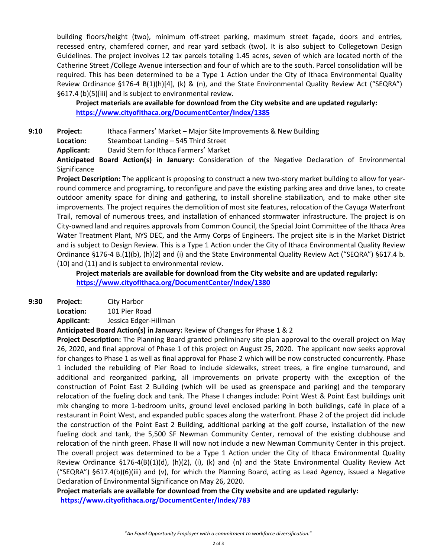building floors/height (two), minimum off-street parking, maximum street façade, doors and entries, recessed entry, chamfered corner, and rear yard setback (two). It is also subject to Collegetown Design Guidelines. The project involves 12 tax parcels totaling 1.45 acres, seven of which are located north of the Catherine Street /College Avenue intersection and four of which are to the south. Parcel consolidation will be required. This has been determined to be a Type 1 Action under the City of Ithaca Environmental Quality Review Ordinance §176-4 B(1)(h)[4], (k) & (n), and the State Environmental Quality Review Act ("SEQRA") §617.4 (b)(5)[iii] and is subject to environmental review.

**Project materials are available for download from the City website and are updated regularly: <https://www.cityofithaca.org/DocumentCenter/Index/1385>**

**9:10 Project:** Ithaca Farmers' Market – Major Site Improvements & New Building

**Location:** Steamboat Landing – 545 Third Street

**Applicant:** David Stern for Ithaca Farmers' Market

**Anticipated Board Action(s) in January:** Consideration of the Negative Declaration of Environmental **Significance** 

**Project Description:** The applicant is proposing to construct a new two-story market building to allow for yearround commerce and programing, to reconfigure and pave the existing parking area and drive lanes, to create outdoor amenity space for dining and gathering, to install shoreline stabilization, and to make other site improvements. The project requires the demolition of most site features, relocation of the Cayuga Waterfront Trail, removal of numerous trees, and installation of enhanced stormwater infrastructure. The project is on City-owned land and requires approvals from Common Council, the Special Joint Committee of the Ithaca Area Water Treatment Plant, NYS DEC, and the Army Corps of Engineers. The project site is in the Market District and is subject to Design Review. This is a Type 1 Action under the City of Ithaca Environmental Quality Review Ordinance §176-4 B.(1)(b), (h)[2] and (i) and the State Environmental Quality Review Act ("SEQRA") §617.4 b. (10) and (11) and is subject to environmental review.

**Project materials are available for download from the City website and are updated regularly: <https://www.cityofithaca.org/DocumentCenter/Index/1380>**

**9:30 Project:** City Harbor

**Location:** 101 Pier Road **Applicant:** Jessica Edger-Hillman

**Anticipated Board Action(s) in January:** Review of Changes for Phase 1 & 2

**Project Description:** The Planning Board granted preliminary site plan approval to the overall project on May 26, 2020, and final approval of Phase 1 of this project on August 25, 2020. The applicant now seeks approval for changes to Phase 1 as well as final approval for Phase 2 which will be now constructed concurrently. Phase 1 included the rebuilding of Pier Road to include sidewalks, street trees, a fire engine turnaround, and additional and reorganized parking, all improvements on private property with the exception of the construction of Point East 2 Building (which will be used as greenspace and parking) and the temporary relocation of the fueling dock and tank. The Phase I changes include: Point West & Point East buildings unit mix changing to more 1-bedroom units, ground level enclosed parking in both buildings, café in place of a restaurant in Point West, and expanded public spaces along the waterfront. Phase 2 of the project did include the construction of the Point East 2 Building, additional parking at the golf course, installation of the new fueling dock and tank, the 5,500 SF Newman Community Center, removal of the existing clubhouse and relocation of the ninth green. Phase II will now not include a new Newman Community Center in this project. The overall project was determined to be a Type 1 Action under the City of Ithaca Environmental Quality Review Ordinance §176-4(B)(1)(d), (h)(2), (i), (k) and (n) and the State Environmental Quality Review Act ("SEQRA") §617.4(b)(6)(iii) and (v), for which the Planning Board, acting as Lead Agency, issued a Negative Declaration of Environmental Significance on May 26, 2020.

**Project materials are available for download from the City website and are updated regularly: <https://www.cityofithaca.org/DocumentCenter/Index/783>**